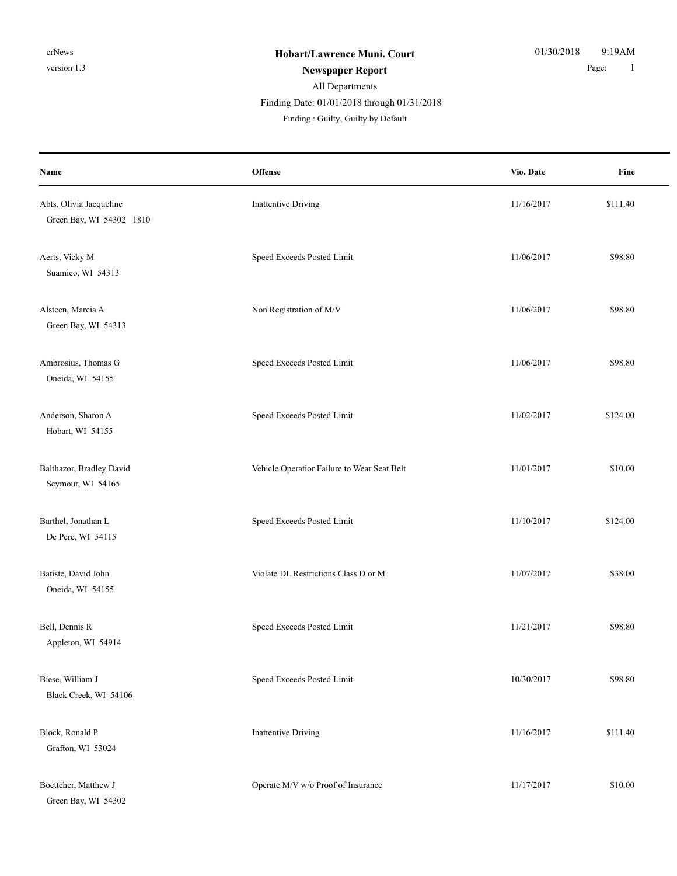## All Departments **Newspaper Report** 1 Finding Date: 01/01/2018 through 01/31/2018

| Name                                                | <b>Offense</b>                              | Vio. Date  | Fine     |
|-----------------------------------------------------|---------------------------------------------|------------|----------|
| Abts, Olivia Jacqueline<br>Green Bay, WI 54302 1810 | <b>Inattentive Driving</b>                  | 11/16/2017 | \$111.40 |
| Aerts, Vicky M<br>Suamico, WI 54313                 | Speed Exceeds Posted Limit                  | 11/06/2017 | \$98.80  |
| Alsteen, Marcia A<br>Green Bay, WI 54313            | Non Registration of M/V                     | 11/06/2017 | \$98.80  |
| Ambrosius, Thomas G<br>Oneida, WI 54155             | Speed Exceeds Posted Limit                  | 11/06/2017 | \$98.80  |
| Anderson, Sharon A<br>Hobart, WI 54155              | Speed Exceeds Posted Limit                  | 11/02/2017 | \$124.00 |
| Balthazor, Bradley David<br>Seymour, WI 54165       | Vehicle Operatior Failure to Wear Seat Belt | 11/01/2017 | \$10.00  |
| Barthel, Jonathan L<br>De Pere, WI 54115            | Speed Exceeds Posted Limit                  | 11/10/2017 | \$124.00 |
| Batiste, David John<br>Oneida, WI 54155             | Violate DL Restrictions Class D or M        | 11/07/2017 | \$38.00  |
| Bell, Dennis R<br>Appleton, WI 54914                | Speed Exceeds Posted Limit                  | 11/21/2017 | \$98.80  |
| Biese, William J<br>Black Creek, WI 54106           | Speed Exceeds Posted Limit                  | 10/30/2017 | \$98.80  |
| Block, Ronald P<br>Grafton, WI 53024                | <b>Inattentive Driving</b>                  | 11/16/2017 | \$111.40 |
| Boettcher, Matthew J<br>Green Bay, WI 54302         | Operate M/V w/o Proof of Insurance          | 11/17/2017 | \$10.00  |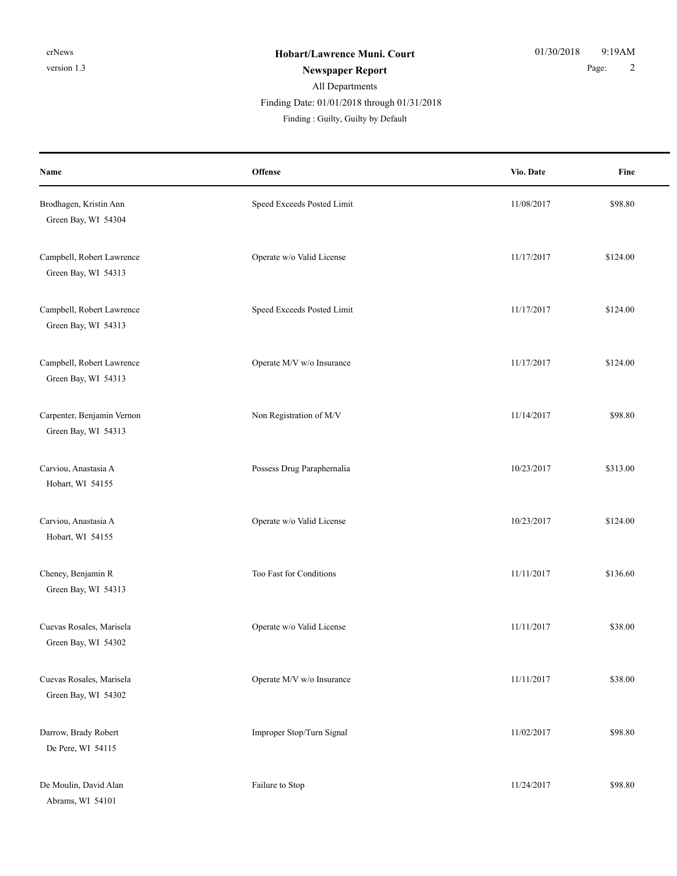#### All Departments **Newspaper Report** 2 Finding : Guilty, Guilty by Default Finding Date: 01/01/2018 through 01/31/2018

| Name                                              | Offense                    | Vio. Date  | Fine     |
|---------------------------------------------------|----------------------------|------------|----------|
| Brodhagen, Kristin Ann<br>Green Bay, WI 54304     | Speed Exceeds Posted Limit | 11/08/2017 | \$98.80  |
| Campbell, Robert Lawrence<br>Green Bay, WI 54313  | Operate w/o Valid License  | 11/17/2017 | \$124.00 |
| Campbell, Robert Lawrence<br>Green Bay, WI 54313  | Speed Exceeds Posted Limit | 11/17/2017 | \$124.00 |
| Campbell, Robert Lawrence<br>Green Bay, WI 54313  | Operate M/V w/o Insurance  | 11/17/2017 | \$124.00 |
| Carpenter, Benjamin Vernon<br>Green Bay, WI 54313 | Non Registration of M/V    | 11/14/2017 | \$98.80  |
| Carviou, Anastasia A<br>Hobart, WI 54155          | Possess Drug Paraphernalia | 10/23/2017 | \$313.00 |
| Carviou, Anastasia A<br>Hobart, WI 54155          | Operate w/o Valid License  | 10/23/2017 | \$124.00 |
| Cheney, Benjamin R<br>Green Bay, WI 54313         | Too Fast for Conditions    | 11/11/2017 | \$136.60 |
| Cuevas Rosales, Marisela<br>Green Bay, WI 54302   | Operate w/o Valid License  | 11/11/2017 | \$38.00  |
| Cuevas Rosales, Marisela<br>Green Bay, WI 54302   | Operate M/V w/o Insurance  | 11/11/2017 | \$38.00  |
| Darrow, Brady Robert<br>De Pere, WI 54115         | Improper Stop/Turn Signal  | 11/02/2017 | \$98.80  |
| De Moulin, David Alan<br>Abrams, WI 54101         | Failure to Stop            | 11/24/2017 | \$98.80  |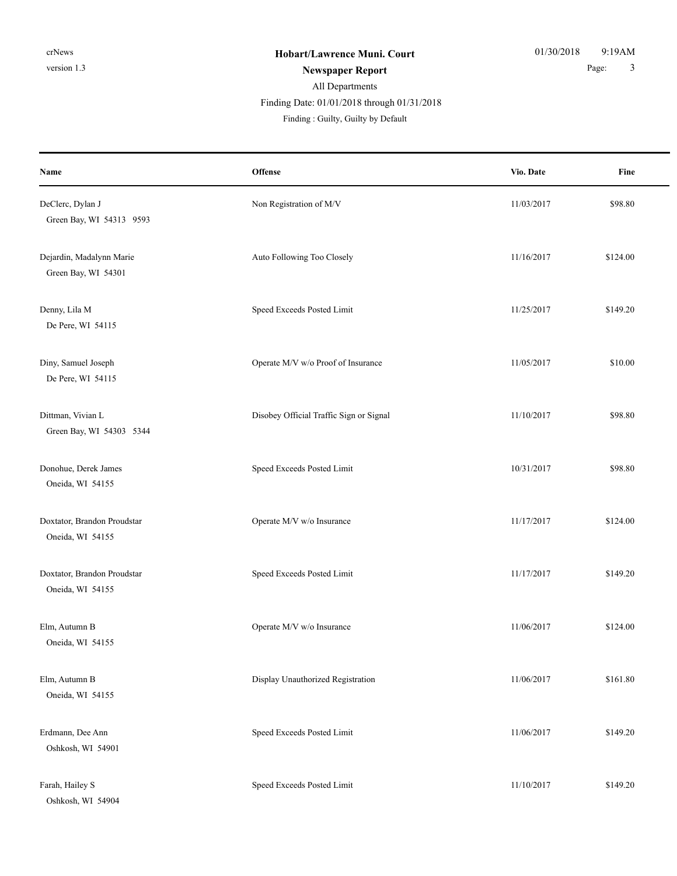## All Departments

Finding Date: 01/01/2018 through 01/31/2018

| Name                                            | Offense                                 | Vio. Date  | Fine     |
|-------------------------------------------------|-----------------------------------------|------------|----------|
| DeClerc, Dylan J<br>Green Bay, WI 54313 9593    | Non Registration of M/V                 | 11/03/2017 | \$98.80  |
| Dejardin, Madalynn Marie<br>Green Bay, WI 54301 | Auto Following Too Closely              | 11/16/2017 | \$124.00 |
| Denny, Lila M<br>De Pere, WI 54115              | Speed Exceeds Posted Limit              | 11/25/2017 | \$149.20 |
| Diny, Samuel Joseph<br>De Pere, WI 54115        | Operate M/V w/o Proof of Insurance      | 11/05/2017 | \$10.00  |
| Dittman, Vivian L<br>Green Bay, WI 54303 5344   | Disobey Official Traffic Sign or Signal | 11/10/2017 | \$98.80  |
| Donohue, Derek James<br>Oneida, WI 54155        | Speed Exceeds Posted Limit              | 10/31/2017 | \$98.80  |
| Doxtator, Brandon Proudstar<br>Oneida, WI 54155 | Operate M/V w/o Insurance               | 11/17/2017 | \$124.00 |
| Doxtator, Brandon Proudstar<br>Oneida, WI 54155 | Speed Exceeds Posted Limit              | 11/17/2017 | \$149.20 |
| Elm, Autumn B<br>Oneida, WI 54155               | Operate M/V w/o Insurance               | 11/06/2017 | \$124.00 |
| Elm, Autumn B<br>Oneida, WI 54155               | Display Unauthorized Registration       | 11/06/2017 | \$161.80 |
| Erdmann, Dee Ann<br>Oshkosh, WI 54901           | Speed Exceeds Posted Limit              | 11/06/2017 | \$149.20 |
| Farah, Hailey S<br>Oshkosh, WI 54904            | Speed Exceeds Posted Limit              | 11/10/2017 | \$149.20 |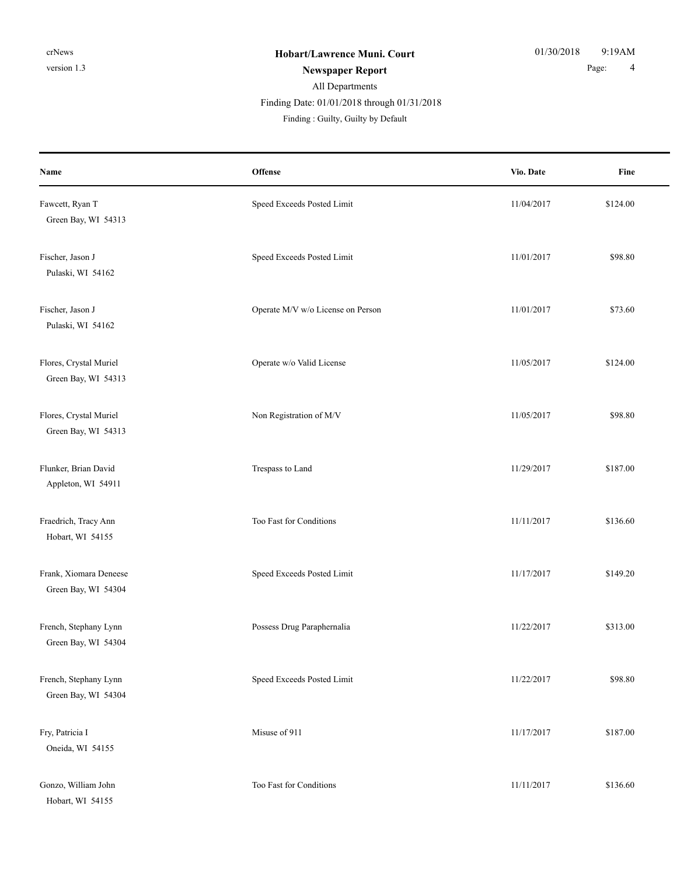#### All Departments **Newspaper Report** 2 and 2 and 2 and 2 and 2 and 2 and 2 and 2 and 2 and 2 and 2 and 2 and 2 and 2 and 2 and 2 and 2 and 2 and 2 and 2 and 2 and 2 and 2 and 2 and 2 and 2 and 2 and 2 and 2 and 2 and 2 and 2 and 2 and 2 and Finding : Guilty, Guilty by Default Finding Date: 01/01/2018 through 01/31/2018

| Name                                          | Offense                           | Vio. Date  | Fine     |
|-----------------------------------------------|-----------------------------------|------------|----------|
| Fawcett, Ryan T<br>Green Bay, WI 54313        | Speed Exceeds Posted Limit        | 11/04/2017 | \$124.00 |
| Fischer, Jason J<br>Pulaski, WI 54162         | Speed Exceeds Posted Limit        | 11/01/2017 | \$98.80  |
| Fischer, Jason J<br>Pulaski, WI 54162         | Operate M/V w/o License on Person | 11/01/2017 | \$73.60  |
| Flores, Crystal Muriel<br>Green Bay, WI 54313 | Operate w/o Valid License         | 11/05/2017 | \$124.00 |
| Flores, Crystal Muriel<br>Green Bay, WI 54313 | Non Registration of M/V           | 11/05/2017 | \$98.80  |
| Flunker, Brian David<br>Appleton, WI 54911    | Trespass to Land                  | 11/29/2017 | \$187.00 |
| Fraedrich, Tracy Ann<br>Hobart, WI 54155      | Too Fast for Conditions           | 11/11/2017 | \$136.60 |
| Frank, Xiomara Deneese<br>Green Bay, WI 54304 | Speed Exceeds Posted Limit        | 11/17/2017 | \$149.20 |
| French, Stephany Lynn<br>Green Bay, WI 54304  | Possess Drug Paraphernalia        | 11/22/2017 | \$313.00 |
| French, Stephany Lynn<br>Green Bay, WI 54304  | Speed Exceeds Posted Limit        | 11/22/2017 | \$98.80  |
| Fry, Patricia I<br>Oneida, WI 54155           | Misuse of 911                     | 11/17/2017 | \$187.00 |
| Gonzo, William John<br>Hobart, WI 54155       | Too Fast for Conditions           | 11/11/2017 | \$136.60 |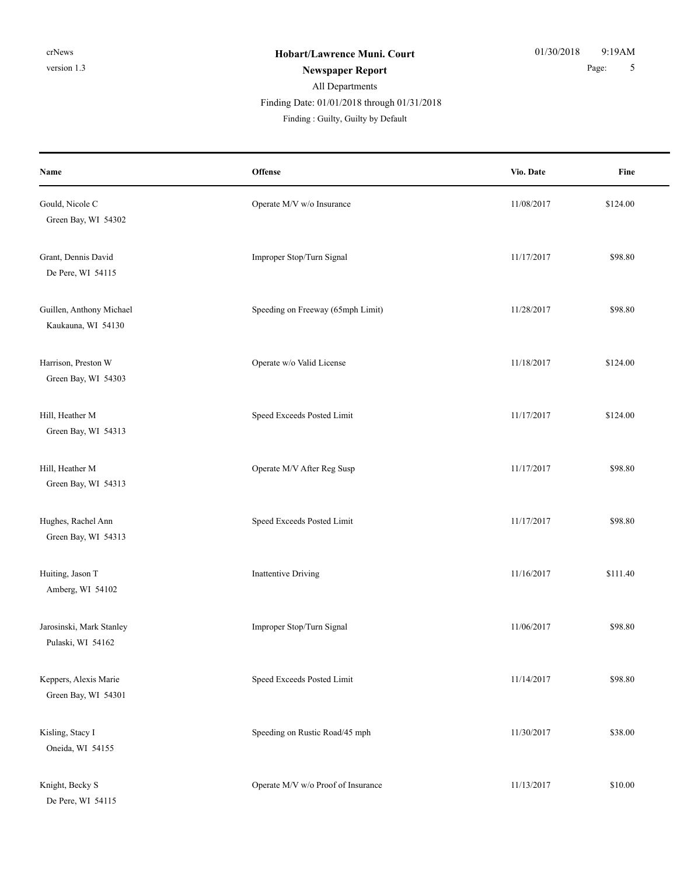## All Departments **Newspaper Report** 5 Finding Date: 01/01/2018 through 01/31/2018

| Name                                           | Offense                            | Vio. Date  | Fine     |
|------------------------------------------------|------------------------------------|------------|----------|
| Gould, Nicole C<br>Green Bay, WI 54302         | Operate M/V w/o Insurance          | 11/08/2017 | \$124.00 |
| Grant, Dennis David<br>De Pere, WI 54115       | Improper Stop/Turn Signal          | 11/17/2017 | \$98.80  |
| Guillen, Anthony Michael<br>Kaukauna, WI 54130 | Speeding on Freeway (65mph Limit)  | 11/28/2017 | \$98.80  |
| Harrison, Preston W<br>Green Bay, WI 54303     | Operate w/o Valid License          | 11/18/2017 | \$124.00 |
| Hill, Heather M<br>Green Bay, WI 54313         | Speed Exceeds Posted Limit         | 11/17/2017 | \$124.00 |
| Hill, Heather M<br>Green Bay, WI 54313         | Operate M/V After Reg Susp         | 11/17/2017 | \$98.80  |
| Hughes, Rachel Ann<br>Green Bay, WI 54313      | Speed Exceeds Posted Limit         | 11/17/2017 | \$98.80  |
| Huiting, Jason T<br>Amberg, WI 54102           | Inattentive Driving                | 11/16/2017 | \$111.40 |
| Jarosinski, Mark Stanley<br>Pulaski, WI 54162  | Improper Stop/Turn Signal          | 11/06/2017 | \$98.80  |
| Keppers, Alexis Marie<br>Green Bay, WI 54301   | Speed Exceeds Posted Limit         | 11/14/2017 | \$98.80  |
| Kisling, Stacy I<br>Oneida, WI 54155           | Speeding on Rustic Road/45 mph     | 11/30/2017 | \$38.00  |
| Knight, Becky S<br>De Pere, WI 54115           | Operate M/V w/o Proof of Insurance | 11/13/2017 | \$10.00  |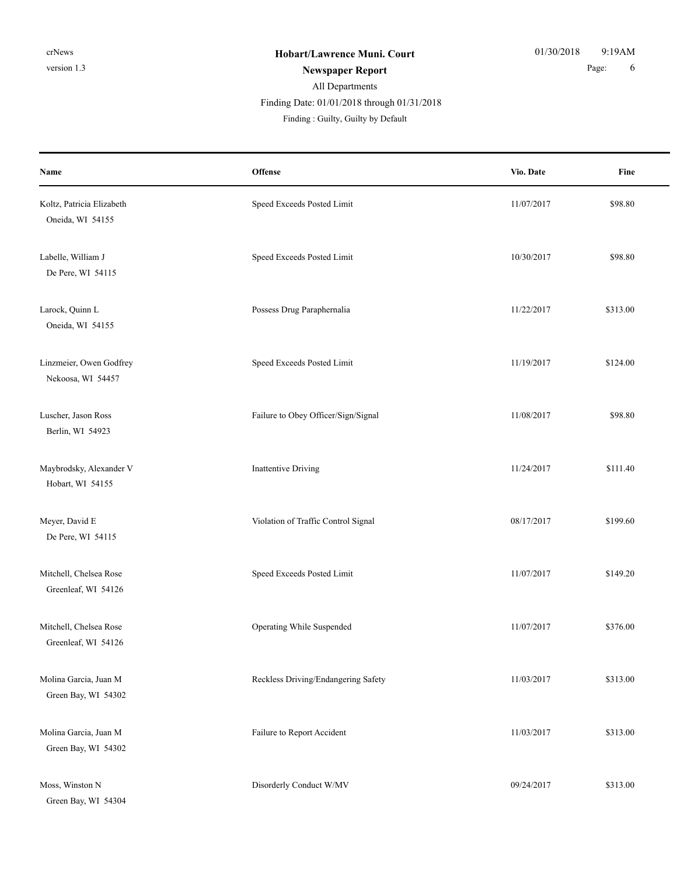#### All Departments **Newspaper Report** 6 **Page:** 6 Finding : Guilty, Guilty by Default Finding Date: 01/01/2018 through 01/31/2018

| Name                                          | Offense                             | Vio. Date  | Fine     |
|-----------------------------------------------|-------------------------------------|------------|----------|
| Koltz, Patricia Elizabeth<br>Oneida, WI 54155 | Speed Exceeds Posted Limit          | 11/07/2017 | \$98.80  |
| Labelle, William J<br>De Pere, WI 54115       | Speed Exceeds Posted Limit          | 10/30/2017 | \$98.80  |
| Larock, Quinn L<br>Oneida, WI 54155           | Possess Drug Paraphernalia          | 11/22/2017 | \$313.00 |
| Linzmeier, Owen Godfrey<br>Nekoosa, WI 54457  | Speed Exceeds Posted Limit          | 11/19/2017 | \$124.00 |
| Luscher, Jason Ross<br>Berlin, WI 54923       | Failure to Obey Officer/Sign/Signal | 11/08/2017 | \$98.80  |
| Maybrodsky, Alexander V<br>Hobart, WI 54155   | <b>Inattentive Driving</b>          | 11/24/2017 | \$111.40 |
| Meyer, David E<br>De Pere, WI 54115           | Violation of Traffic Control Signal | 08/17/2017 | \$199.60 |
| Mitchell, Chelsea Rose<br>Greenleaf, WI 54126 | Speed Exceeds Posted Limit          | 11/07/2017 | \$149.20 |
| Mitchell, Chelsea Rose<br>Greenleaf, WI 54126 | Operating While Suspended           | 11/07/2017 | \$376.00 |
| Molina Garcia, Juan M<br>Green Bay, WI 54302  | Reckless Driving/Endangering Safety | 11/03/2017 | \$313.00 |
| Molina Garcia, Juan M<br>Green Bay, WI 54302  | Failure to Report Accident          | 11/03/2017 | \$313.00 |
| Moss, Winston N<br>Green Bay, WI 54304        | Disorderly Conduct W/MV             | 09/24/2017 | \$313.00 |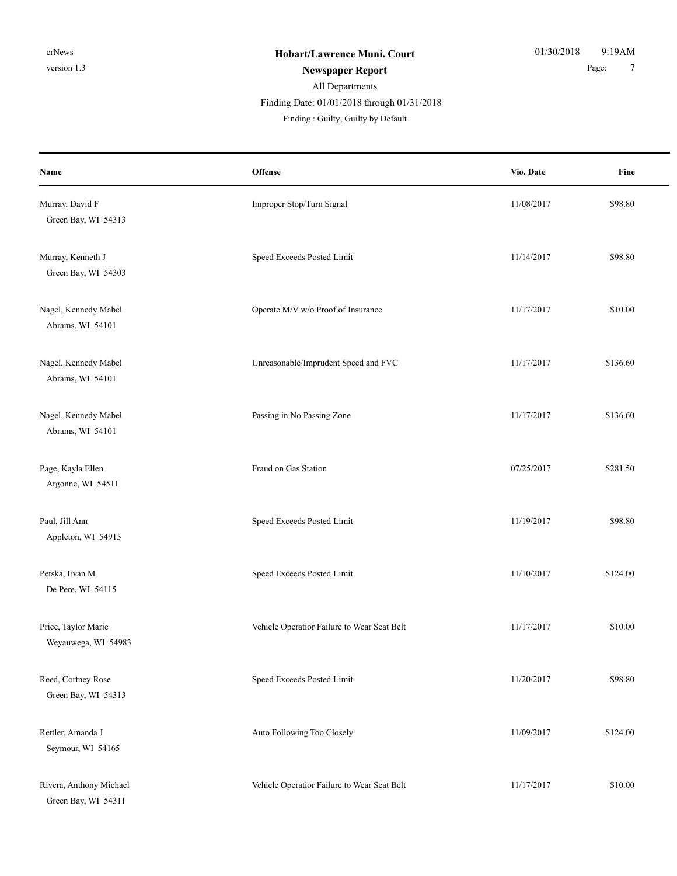# All Departments Finding Date: 01/01/2018 through 01/31/2018

| Name                                           | Offense                                     | Vio. Date  | Fine     |
|------------------------------------------------|---------------------------------------------|------------|----------|
| Murray, David F<br>Green Bay, WI 54313         | Improper Stop/Turn Signal                   | 11/08/2017 | \$98.80  |
| Murray, Kenneth J<br>Green Bay, WI 54303       | Speed Exceeds Posted Limit                  | 11/14/2017 | \$98.80  |
| Nagel, Kennedy Mabel<br>Abrams, WI 54101       | Operate M/V w/o Proof of Insurance          | 11/17/2017 | \$10.00  |
| Nagel, Kennedy Mabel<br>Abrams, WI 54101       | Unreasonable/Imprudent Speed and FVC        | 11/17/2017 | \$136.60 |
| Nagel, Kennedy Mabel<br>Abrams, WI 54101       | Passing in No Passing Zone                  | 11/17/2017 | \$136.60 |
| Page, Kayla Ellen<br>Argonne, WI 54511         | Fraud on Gas Station                        | 07/25/2017 | \$281.50 |
| Paul, Jill Ann<br>Appleton, WI 54915           | Speed Exceeds Posted Limit                  | 11/19/2017 | \$98.80  |
| Petska, Evan M<br>De Pere, WI 54115            | Speed Exceeds Posted Limit                  | 11/10/2017 | \$124.00 |
| Price, Taylor Marie<br>Weyauwega, WI 54983     | Vehicle Operatior Failure to Wear Seat Belt | 11/17/2017 | \$10.00  |
| Reed, Cortney Rose<br>Green Bay, WI 54313      | Speed Exceeds Posted Limit                  | 11/20/2017 | \$98.80  |
| Rettler, Amanda J<br>Seymour, WI 54165         | Auto Following Too Closely                  | 11/09/2017 | \$124.00 |
| Rivera, Anthony Michael<br>Green Bay, WI 54311 | Vehicle Operatior Failure to Wear Seat Belt | 11/17/2017 | \$10.00  |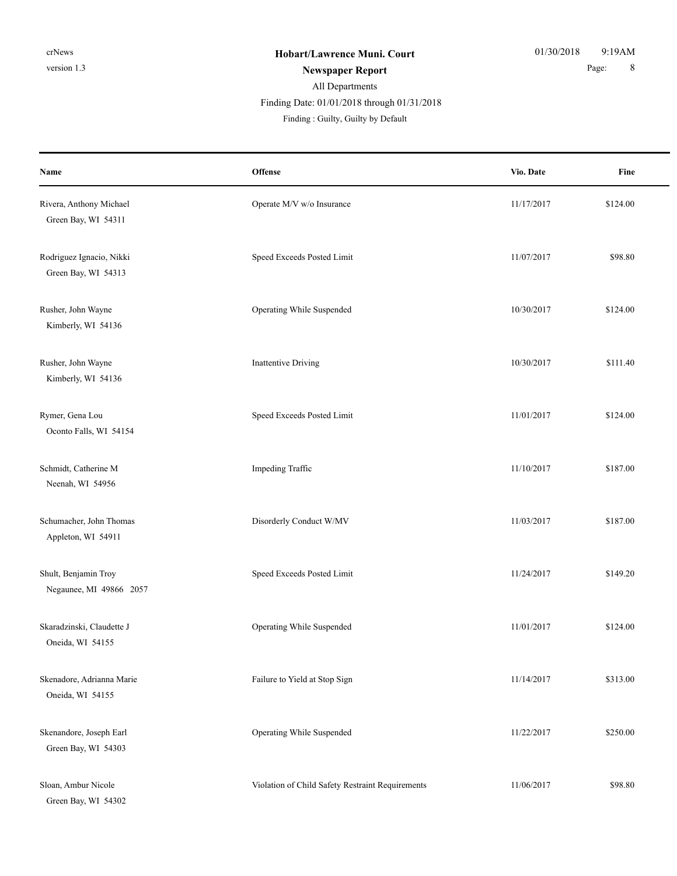#### All Departments **Newspaper Report** 8 Finding : Guilty, Guilty by Default Finding Date: 01/01/2018 through 01/31/2018

| Name                                            | Offense                                          | Vio. Date  | Fine     |
|-------------------------------------------------|--------------------------------------------------|------------|----------|
| Rivera, Anthony Michael<br>Green Bay, WI 54311  | Operate M/V w/o Insurance                        | 11/17/2017 | \$124.00 |
| Rodriguez Ignacio, Nikki<br>Green Bay, WI 54313 | Speed Exceeds Posted Limit                       | 11/07/2017 | \$98.80  |
| Rusher, John Wayne<br>Kimberly, WI 54136        | Operating While Suspended                        | 10/30/2017 | \$124.00 |
| Rusher, John Wayne<br>Kimberly, WI 54136        | Inattentive Driving                              | 10/30/2017 | \$111.40 |
| Rymer, Gena Lou<br>Oconto Falls, WI 54154       | Speed Exceeds Posted Limit                       | 11/01/2017 | \$124.00 |
| Schmidt, Catherine M<br>Neenah, WI 54956        | Impeding Traffic                                 | 11/10/2017 | \$187.00 |
| Schumacher, John Thomas<br>Appleton, WI 54911   | Disorderly Conduct W/MV                          | 11/03/2017 | \$187.00 |
| Shult, Benjamin Troy<br>Negaunee, MI 49866 2057 | Speed Exceeds Posted Limit                       | 11/24/2017 | \$149.20 |
| Skaradzinski, Claudette J<br>Oneida, WI 54155   | Operating While Suspended                        | 11/01/2017 | \$124.00 |
| Skenadore, Adrianna Marie<br>Oneida, WI 54155   | Failure to Yield at Stop Sign                    | 11/14/2017 | \$313.00 |
| Skenandore, Joseph Earl<br>Green Bay, WI 54303  | Operating While Suspended                        | 11/22/2017 | \$250.00 |
| Sloan, Ambur Nicole<br>Green Bay, WI 54302      | Violation of Child Safety Restraint Requirements | 11/06/2017 | \$98.80  |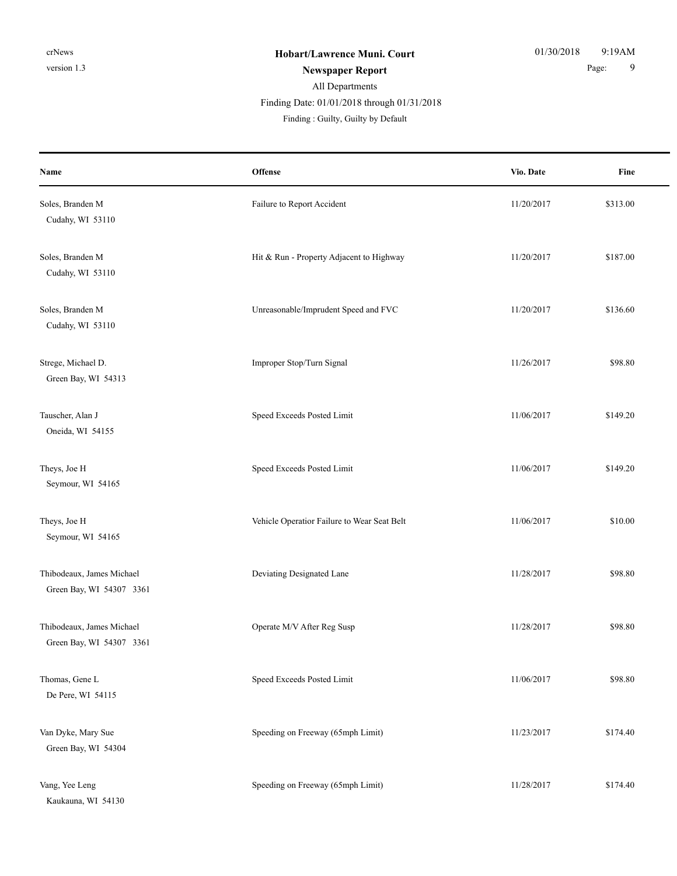#### All Departments **Newspaper Report** 9 Finding Date: 01/01/2018 through 01/31/2018

| Name                                                  | Offense                                     | Vio. Date  | Fine     |
|-------------------------------------------------------|---------------------------------------------|------------|----------|
| Soles, Branden M<br>Cudahy, WI 53110                  | Failure to Report Accident                  | 11/20/2017 | \$313.00 |
| Soles, Branden M<br>Cudahy, WI 53110                  | Hit & Run - Property Adjacent to Highway    | 11/20/2017 | \$187.00 |
| Soles, Branden M<br>Cudahy, WI 53110                  | Unreasonable/Imprudent Speed and FVC        | 11/20/2017 | \$136.60 |
| Strege, Michael D.<br>Green Bay, WI 54313             | Improper Stop/Turn Signal                   | 11/26/2017 | \$98.80  |
| Tauscher, Alan J<br>Oneida, WI 54155                  | Speed Exceeds Posted Limit                  | 11/06/2017 | \$149.20 |
| Theys, Joe H<br>Seymour, WI 54165                     | Speed Exceeds Posted Limit                  | 11/06/2017 | \$149.20 |
| Theys, Joe H<br>Seymour, WI 54165                     | Vehicle Operatior Failure to Wear Seat Belt | 11/06/2017 | \$10.00  |
| Thibodeaux, James Michael<br>Green Bay, WI 54307 3361 | Deviating Designated Lane                   | 11/28/2017 | \$98.80  |
| Thibodeaux, James Michael<br>Green Bay, WI 54307 3361 | Operate M/V After Reg Susp                  | 11/28/2017 | \$98.80  |
| Thomas, Gene L<br>De Pere, WI 54115                   | Speed Exceeds Posted Limit                  | 11/06/2017 | \$98.80  |
| Van Dyke, Mary Sue<br>Green Bay, WI 54304             | Speeding on Freeway (65mph Limit)           | 11/23/2017 | \$174.40 |
| Vang, Yee Leng<br>Kaukauna, WI 54130                  | Speeding on Freeway (65mph Limit)           | 11/28/2017 | \$174.40 |